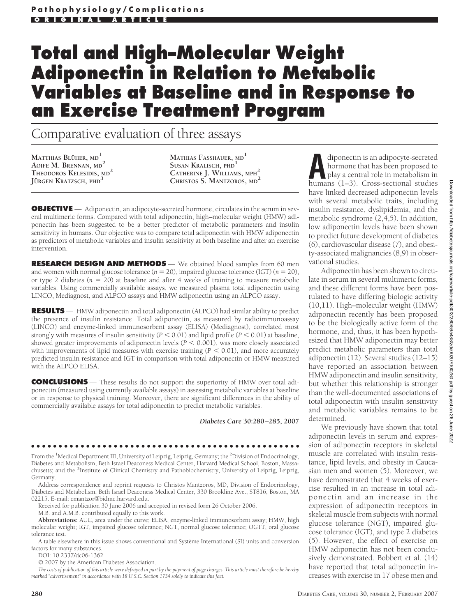# **Total and High–Molecular Weight Adiponectin in Relation to Metabolic Variables at Baseline and in Response to an Exercise Treatment Program**

## Comparative evaluation of three assays

**MATTHIAS BLUHER ¨ , MD<sup>1</sup> AOIFE M. BRENNAN, MD<sup>2</sup> THEODOROS KELESIDIS, MD<sup>2</sup> JU¨RGEN KRATZSCH, PHD<sup>3</sup>**

**MATHIAS FASSHAUER, MD<sup>1</sup> SUSAN KRALISCH, PHD<sup>1</sup> CATHERINE J. WILLIAMS, MPH<sup>2</sup> CHRISTOS S. MANTZOROS, MD<sup>2</sup>**

**OBJECTIVE** — Adiponectin, an adipocyte-secreted hormone, circulates in the serum in several multimeric forms. Compared with total adiponectin, high–molecular weight (HMW) adiponectin has been suggested to be a better predictor of metabolic parameters and insulin sensitivity in humans. Our objective was to compare total adiponectin with HMW adiponectin as predictors of metabolic variables and insulin sensitivity at both baseline and after an exercise intervention.

**RESEARCH DESIGN AND METHODS** — We obtained blood samples from 60 men and women with normal glucose tolerance  $(n = 20)$ , impaired glucose tolerance (IGT)  $(n = 20)$ , or type 2 diabetes ( $n = 20$ ) at baseline and after 4 weeks of training to measure metabolic variables. Using commercially available assays, we measured plasma total adiponectin using LINCO, Mediagnost, and ALPCO assays and HMW adiponectin using an ALPCO assay.

**RESULTS** — HMW adiponectin and total adiponectin (ALPCO) had similar ability to predict the presence of insulin resistance. Total adiponectin, as measured by radioimmunoassay (LINCO) and enzyme-linked immunosorbent assay (ELISA) (Mediagnost), correlated most strongly with measures of insulin sensitivity  $(P < 0.01)$  and lipid profile  $(P < 0.01)$  at baseline, showed greater improvements of adiponectin levels  $(P < 0.001)$ , was more closely associated with improvements of lipid measures with exercise training  $(P < 0.01)$ , and more accurately predicted insulin resistance and IGT in comparison with total adiponectin or HMW measured with the ALPCO ELISA.

**CONCLUSIONS** — These results do not support the superiority of HMW over total adiponectin (measured using currently available assays) in assessing metabolic variables at baseline or in response to physical training. Moreover, there are significant differences in the ability of commercially available assays for total adiponectin to predict metabolic variables.

*Diabetes Care* **30:280 –285, 2007**

From the <sup>1</sup>Medical Department III, University of Leipzig, Leipzig, Germany; the <sup>2</sup>Division of Endocrinology, Diabetes and Metabolism, Beth Israel Deaconess Medical Center, Harvard Medical School, Boston, Massachusetts; and the <sup>3</sup>Institute of Clinical Chemistry and Pathobiochemistry, University of Leipzig, Leipzig, Germany.

●●●●●●●●●●●●●●●●●●●●●●●●●●●●●●●●●●●●●●●●●●●●●●●●●

Address correspondence and reprint requests to Christos Mantzoros, MD, Division of Endocrinology, Diabetes and Metabolism, Beth Israel Deaconess Medical Center, 330 Brookline Ave., ST816, Boston, MA 02215. E-mail: cmantzor@bidmc.harvard.edu.

Received for publication 30 June 2006 and accepted in revised form 26 October 2006.

M.B. and A.M.B. contributed equally to this work.

**Abbreviations:** AUC, area under the curve; ELISA, enzyme-linked immunosorbent assay; HMW, high molecular weight; IGT, impaired glucose tolerance; NGT, normal glucose tolerance; OGTT, oral glucose tolerance test.

A table elsewhere in this issue shows conventional and Système International (SI) units and conversion factors for many substances.

DOI: 10.2337/dc06-1362

© 2007 by the American Diabetes Association.

*The costs of publication of this article were defrayed in part by the payment of page charges. This article must therefore be hereby marked "advertisement" in accordance with 18 U.S.C. Section 1734 solely to indicate this fact.*

diponectin is an adipocyte-secreted<br>hormone that has been proposed to<br>play a central role in metabolism in<br>humans (1–3) Cross-sectional studies hormone that has been proposed to play a central role in metabolism in humans (1–3). Cross-sectional studies have linked decreased adiponectin levels with several metabolic traits, including insulin resistance, dyslipidemia, and the metabolic syndrome (2,4,5). In addition, low adiponectin levels have been shown to predict future development of diabetes (6), cardiovascular disease (7), and obesity-associated malignancies (8,9) in observational studies.

Adiponectin has been shown to circulate in serum in several multimeric forms, and these different forms have been postulated to have differing biologic activity (10,11). High–molecular weight (HMW) adiponectin recently has been proposed to be the biologically active form of the hormone, and, thus, it has been hypothesized that HMW adiponectin may better predict metabolic parameters than total adiponectin (12). Several studies (12–15) have reported an association between HMW adiponectin and insulin sensitivity, but whether this relationship is stronger than the well-documented associations of total adiponectin with insulin sensitivity and metabolic variables remains to be determined.

We previously have shown that total adiponectin levels in serum and expression of adiponectin receptors in skeletal muscle are correlated with insulin resistance, lipid levels, and obesity in Caucasian men and women (5). Moreover, we have demonstrated that 4 weeks of exercise resulted in an increase in total adiponectin and an increase in the expression of adiponectin receptors in skeletal muscle from subjects with normal glucose tolerance (NGT), impaired glucose tolerance (IGT), and type 2 diabetes (5). However, the effect of exercise on HMW adiponectin has not been conclusively demonstrated. Bobbert et al. (14) have reported that total adiponectin increases with exercise in 17 obese men and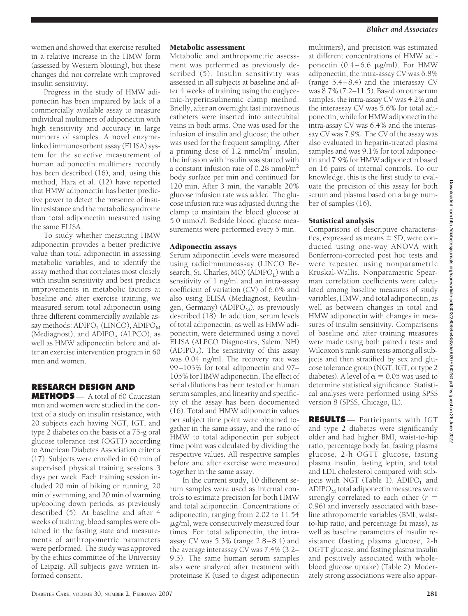women and showed that exercise resulted in a relative increase in the HMW form (assessed by Western blotting), but these changes did not correlate with improved insulin sensitivity.

Progress in the study of HMW adiponectin has been impaired by lack of a commercially available assay to measure individual multimers of adiponectin with high sensitivity and accuracy in large numbers of samples. A novel enzymelinked immunosorbent assay (ELISA) system for the selective measurement of human adiponectin multimers recently has been described (16), and, using this method, Hara et al. (12) have reported that HMW adiponectin has better predictive power to detect the presence of insulin resistance and the metabolic syndrome than total adiponectin measured using the same ELISA.

To study whether measuring HMW adiponectin provides a better predictive value than total adiponectin in assessing metabolic variables, and to identify the assay method that correlates most closely with insulin sensitivity and best predicts improvements in metabolic factors at baseline and after exercise training, we measured serum total adiponectin using three different commercially available assay methods:  $ADIPO<sub>I</sub>$  (LINCO),  $ADIPO<sub>M</sub>$ (Mediagnost), and  $ADIPC<sub>A</sub>$  (ALPCO), as well as HMW adiponectin before and after an exercise intervention program in 60 men and women.

## **RESEARCH DESIGN AND**

**METHODS** — A total of 60 Caucasian men and women were studied in the context of a study on insulin resistance, with 20 subjects each having NGT, IGT, and type 2 diabetes on the basis of a 75-g oral glucose tolerance test (OGTT) according to American Diabetes Association criteria (17). Subjects were enrolled in 60 min of supervised physical training sessions 3 days per week. Each training session included 20 min of biking or running, 20 min of swimming, and 20 min of warming up/cooling down periods, as previously described (5). At baseline and after 4 weeks of training, blood samples were obtained in the fasting state and measurements of anthropometric parameters were performed. The study was approved by the ethics committee of the University of Leipzig. All subjects gave written informed consent.

#### Metabolic assessment

Metabolic and anthropometric assessment was performed as previously described (5). Insulin sensitivity was assessed in all subjects at baseline and after 4 weeks of training using the euglycemic-hyperinsulinemic clamp method. Briefly, after an overnight fast intravenous catheters were inserted into antecubital veins in both arms. One was used for the infusion of insulin and glucose; the other was used for the frequent sampling. After a priming dose of 1.2 nmol/ $m<sup>2</sup>$  insulin, the infusion with insulin was started with a constant infusion rate of  $0.28 \text{ nmol/m}^2$ body surface per min and continued for 120 min. After 3 min, the variable 20% glucose infusion rate was added. The glucose infusion rate was adjusted during the clamp to maintain the blood glucose at 5.0 mmol/l. Bedside blood glucose measurements were performed every 5 min.

#### Adiponectin assays

Serum adiponectin levels were measured using radioimmunoassay (LINCO Research, St. Charles, MO) (ADIPO<sub>I</sub>) with a sensitivity of 1 ng/ml and an intra-assay coefficient of variation (CV) of 6.6% and also using ELISA (Mediagnost, Reutlingen, Germany) ( $ADIPO<sub>M</sub>$ ), as previously described (18). In addition, serum levels of total adiponectin, as well as HMW adiponectin, were determined using a novel ELISA (ALPCO Diagnostics, Salem, NH) (ADIPO<sub>A</sub>). The sensitivity of this assay was 0.04 ng/ml. The recovery rate was 99–103% for total adiponectin and 97– 105% for HMW adiponectin. The effect of serial dilutions has been tested on human serum samples, and linearity and specificity of the assay has been documented (16). Total and HMW adiponectin values per subject time point were obtained together in the same assay, and the ratio of HMW to total adiponectin per subject time point was calculated by dividing the respective values. All respective samples before and after exercise were measured together in the same assay.

In the current study, 10 different serum samples were used as internal controls to estimate precision for both HMW and total adiponectin. Concentrations of adiponectin, ranging from 2.02 to 11.54 g/ml, were consecutively measured four times. For total adiponectin, the intraassay CV was  $5.3\%$  (range  $2.8-8.4$ ) and the average interassay CV was 7.4% (3.2– 9.5). The same human serum samples also were analyzed after treatment with proteinase K (used to digest adiponectin

multimers), and precision was estimated at different concentrations of HMW adiponectin  $(0.4-6.6 \mu g/ml)$ . For HMW adiponectin, the intra-assay CV was 6.8% (range 5.4–8.4) and the interassay CV was 8.7% (7.2–11.5). Based on our serum samples, the intra-assay CV was 4.2% and the interassay CV was 5.6% for total adiponectin, while for HMW adiponectin the intra-assay CV was 6.4% and the interassay CV was 7.9%. The CV of the assay was also evaluated in heparin-treated plasma samples and was 9.1% for total adiponectin and 7.9% for HMW adiponectin based on 16 pairs of internal controls. To our knowledge, this is the first study to evaluate the precision of this assay for both serum and plasma based on a large number of samples (16).

#### Statistical analysis

Comparisons of descriptive characteristics, expressed as means  $\pm$  SD, were conducted using one-way ANOVA with Bonferroni-corrected post hoc tests and were repeated using nonparametric Kruskal-Wallis. Nonparametric Spearman correlation coefficients were calculated among baseline measures of study variables, HMW, and total adiponectin, as well as between changes in total and HMW adiponectin with changes in measures of insulin sensitivity. Comparisons of baseline and after training measures were made using both paired *t* tests and Wilcoxon's rank-sum tests among all subjects and then stratified by sex and glucose tolerance group (NGT, IGT, or type 2 diabetes). A level of  $\alpha = 0.05$  was used to determine statistical significance. Statistical analyses were performed using SPSS version 8 (SPSS, Chicago, IL).

**RESULTS** — Participants with IGT and type 2 diabetes were significantly older and had higher BMI, waist-to-hip ratio, percentage body fat, fasting plasma glucose, 2-h OGTT glucose, fasting plasma insulin, fasting leptin, and total and LDL cholesterol compared with subjects with NGT (Table 1).  $ADIPO<sub>I</sub>$  and  $ADIPO<sub>M</sub>$  total adiponectin measures were strongly correlated to each other (*r* 0.96) and inversely associated with baseline athropometric variables (BMI, waistto-hip ratio, and percentage fat mass), as well as baseline parameters of insulin resistance (fasting plasma glucose, 2-h OGTT glucose, and fasting plasma insulin and positively associated with wholeblood glucose uptake) (Table 2). Moderately strong associations were also appar-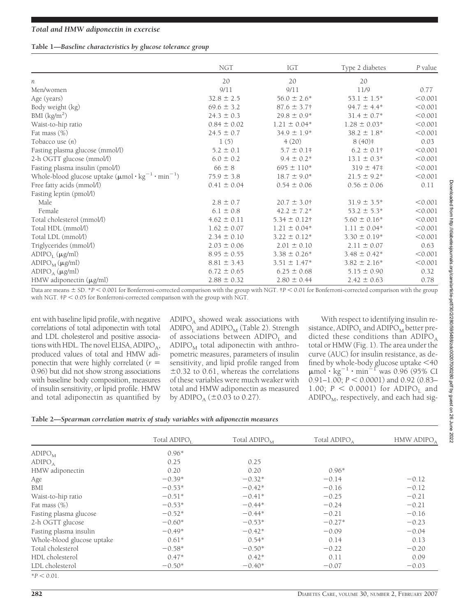#### **Table 1—***Baseline characteristics by glucose tolerance group*

|                                                                                          | <b>NGT</b>      | IGT               | Type 2 diabetes  | P value |
|------------------------------------------------------------------------------------------|-----------------|-------------------|------------------|---------|
| n                                                                                        | 20              | 20                | 20               |         |
| Men/women                                                                                | 9/11            | 9/11              | 11/9             | 0.77    |
| Age (years)                                                                              | $32.8 \pm 2.5$  | $56.0 \pm 2.6^*$  | $53.1 \pm 1.5^*$ | < 0.001 |
| Body weight (kg)                                                                         | $69.6 \pm 3.2$  | $87.6 \pm 3.7$ †  | $94.7 \pm 4.4*$  | < 0.001 |
| BMI $\frac{\text{kg}}{\text{m}^2}$                                                       | $24.3 \pm 0.3$  | $29.8 \pm 0.9*$   | $31.4 \pm 0.7*$  | < 0.001 |
| Waist-to-hip ratio                                                                       | $0.84 \pm 0.02$ | $1.21 \pm 0.04*$  | $1.28 \pm 0.03*$ | < 0.001 |
| Fat mass $(\%)$                                                                          | $24.5 \pm 0.7$  | $34.9 \pm 1.9*$   | $38.2 \pm 1.8^*$ | < 0.001 |
| Tobacco use $(n)$                                                                        | 1(5)            | 4(20)             | $8(40)*$         | 0.03    |
| Fasting plasma glucose (mmol/l)                                                          | $5.2 \pm 0.1$   | $5.7 \pm 0.1$ #   | $6.2 \pm 0.1$ †  | < 0.001 |
| 2-h OGTT glucose (mmol/l)                                                                | $6.0 \pm 0.2$   | $9.4 \pm 0.2^*$   | $13.1 \pm 0.3^*$ | < 0.001 |
| Fasting plasma insulin (pmol/l)                                                          | $66 \pm 8$      | $695 \pm 110*$    | $319 \pm 47$ #   | < 0.001 |
| Whole-blood glucose uptake $(\mu \text{mol} \cdot \text{kg}^{-1} \cdot \text{min}^{-1})$ | $75.9 \pm 3.8$  | $18.7 \pm 9.0^*$  | $21.5 \pm 9.2*$  | < 0.001 |
| Free fatty acids (mmol/l)                                                                | $0.41 \pm 0.04$ | $0.54 \pm 0.06$   | $0.56 \pm 0.06$  | 0.11    |
| Fasting leptin (pmol/l)                                                                  |                 |                   |                  |         |
| Male                                                                                     | $2.8 \pm 0.7$   | $20.7 \pm 3.0$ †  | $31.9 \pm 3.5^*$ | < 0.001 |
| Female                                                                                   | $6.1 \pm 0.8$   | $42.2 \pm 7.2^*$  | $53.2 \pm 5.3^*$ | < 0.001 |
| Total cholesterol (mmol/l)                                                               | $4.62 \pm 0.11$ | $5.34 \pm 0.12$ † | $5.60 \pm 0.16*$ | < 0.001 |
| Total HDL (mmol/l)                                                                       | $1.62 \pm 0.07$ | $1.21 \pm 0.04*$  | $1.11 \pm 0.04*$ | < 0.001 |
| Total LDL (mmol/l)                                                                       | $2.34 \pm 0.10$ | $3.22 \pm 0.12^*$ | $3.30 \pm 0.19*$ | < 0.001 |
| Triglycerides (mmol/l)                                                                   | $2.03 \pm 0.06$ | $2.01 \pm 0.10$   | $2.11 \pm 0.07$  | 0.63    |
| $ADIPC_1(\mu g/ml)$                                                                      | $8.95 \pm 0.55$ | $3.38 \pm 0.26^*$ | $3.48 \pm 0.42*$ | < 0.001 |
| $ADIPC_M(\mu g/ml)$                                                                      | $8.81 \pm 3.43$ | $3.51 \pm 1.47*$  | $3.82 \pm 2.16*$ | < 0.001 |
| $ADIPC_A (\mu g/ml)$                                                                     | $6.72 \pm 0.65$ | $6.25 \pm 0.68$   | $5.15 \pm 0.90$  | 0.32    |
| HMW adiponectin (µg/ml)                                                                  | $2.88 \pm 0.32$ | $2.80 \pm 0.44$   | $2.42 \pm 0.63$  | 0.78    |

Data are means  $\pm$  SD. \**P* < 0.001 for Bonferroni-corrected comparison with the group with NGT. †*P* < 0.01 for Bonferroni-corrected comparison with the group with NGT.  $P < 0.05$  for Bonferroni-corrected comparison with the group with NGT.

ent with baseline lipid profile, with negative correlations of total adiponectin with total and LDL cholesterol and positive associations with HDL. The novel ELISA,  $ADIPO<sub>A</sub>$ , produced values of total and HMW adiponectin that were highly correlated (*r* 0.96) but did not show strong associations with baseline body composition, measures of insulin sensitivity, or lipid profile. HMW and total adiponectin as quantified by  $ADIPO<sub>A</sub>$  showed weak associations with ADIPO<sub>I</sub> and ADIPO<sub>M</sub> (Table 2). Strength of associations between  $ADIPO<sub>I</sub>$  and  $ADIPO<sub>M</sub>$  total adiponectin with anthropometric measures, parameters of insulin sensitivity, and lipid profile ranged from  $\pm 0.32$  to 0.61, whereas the correlations of these variables were much weaker with total and HMW adiponectin as measured by ADIPO<sub>A</sub> ( $\pm 0.03$  to 0.27).

With respect to identifying insulin resistance,  $ADIPC_1$  and  $ADIPC_M$  better predicted these conditions than  $ADIPC<sub>A</sub>$ total or HMW (Fig. 1). The area under the curve (AUC) for insulin resistance, as defined by whole-body glucose uptake  $<$ 40  $\mu$ mol·kg<sup>-1</sup>·min<sup>-1</sup> was 0.96 (95% CI 0.91–1.00; *P* < 0.0001) and 0.92 (0.83– 1.00;  $P < 0.0001$ ) for ADIPO<sub>L</sub> and  $ADDIPO<sub>M</sub>$ , respectively, and each had sig-

#### **Table 2—***Spearman correlation matrix of study variables with adiponectin measures*

|                            | Total ADIPO <sub>1</sub> | Total $ADIPOM$ | Total ADIPO <sub>A</sub> | HMW ADIPO <sub>A</sub> |
|----------------------------|--------------------------|----------------|--------------------------|------------------------|
| $ADIPC_M$                  | $0.96*$                  |                |                          |                        |
| ADIPC <sub>A</sub>         | 0.25                     | 0.25           |                          |                        |
| HMW adiponectin            | 0.20                     | 0.20           | $0.96*$                  |                        |
| Age                        | $-0.39*$                 | $-0.32*$       | $-0.14$                  | $-0.12$                |
| BMI                        | $-0.53*$                 | $-0.42*$       | $-0.16$                  | $-0.12$                |
| Waist-to-hip ratio         | $-0.51*$                 | $-0.41*$       | $-0.25$                  | $-0.21$                |
| Fat mass $(\%)$            | $-0.53*$                 | $-0.44*$       | $-0.24$                  | $-0.21$                |
| Fasting plasma glucose     | $-0.52*$                 | $-0.44*$       | $-0.21$                  | $-0.16$                |
| 2-h OGTT glucose           | $-0.60*$                 | $-0.53*$       | $-0.27*$                 | $-0.23$                |
| Fasting plasma insulin     | $-0.49*$                 | $-0.42*$       | $-0.09$                  | $-0.04$                |
| Whole-blood glucose uptake | $0.61*$                  | $0.54*$        | 0.14                     | 0.13                   |
| Total cholesterol          | $-0.58*$                 | $-0.50*$       | $-0.22$                  | $-0.20$                |
| HDL cholesterol            | $0.47*$                  | $0.42*$        | 0.11                     | 0.09                   |
| LDL cholesterol            | $-0.50*$                 | $-0.40*$       | $-0.07$                  | $-0.03$                |
| $*P < 0.01$ .              |                          |                |                          |                        |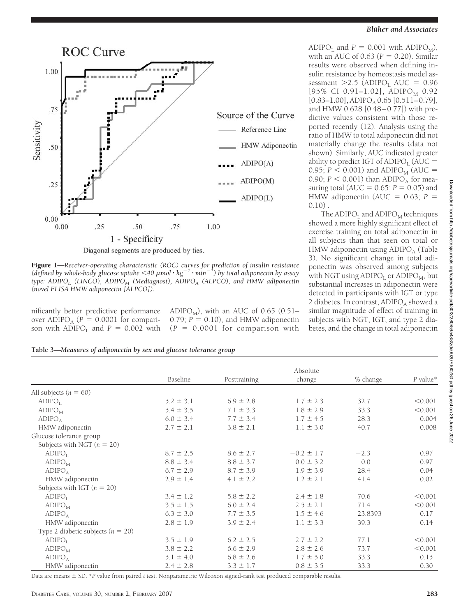

Diagonal segments are produced by ties.

Figure 1—*Receiver-operating characteristic (ROC) curves for prediction of insulin resistance* (*defined by whole-body glucose uptake*  $\lt$  40  $\mu$ mol ·  $kg^{-1}$  ·  $min^{-1}$ ) by total adiponectin by assay *type: ADIPO<sub>I</sub>* (LINCO), ADIPO<sub>M</sub> (Mediagnost), ADIPO<sub>A</sub> (ALPCO), and HMW adiponectin *(novel ELISA HMW adiponectin [ALPCO]).*

nificantly better predictive performance over ADIPO<sub>A</sub> ( $P = 0.0001$  for comparison with  $ADIPC_1$  and  $P = 0.002$  with ADIPO<sub>M</sub>), with an AUC of 0.65 (0.51– 0.79;  $P = 0.10$ ), and HMW adiponectin  $(P = 0.0001$  for comparison with

#### **Blüher and Associates**

ADIPO<sub>L</sub> and  $P = 0.001$  with ADIPO<sub>M</sub>), with an AUC of  $0.63$  ( $P = 0.20$ ). Similar results were observed when defining insulin resistance by homeostasis model assessment  $>2.5$  (ADIPO<sub>L</sub> AUC = 0.96  $[95\% \text{ CI } 0.91-1.02], \text{ADIPC}_{\text{M}} 0.92$  $[0.83-1.00]$ , ADIPO<sub>A</sub> 0.65  $[0.511-0.79]$ , and HMW 0.628 [0.48–0.77]) with predictive values consistent with those reported recently (12). Analysis using the ratio of HMW to total adiponectin did not materially change the results (data not shown). Similarly, AUC indicated greater ability to predict IGT of ADIPO<sub>1</sub> (AUC  $=$ 0.95;  $P < 0.001$ ) and ADIPO<sub>M</sub> (AUC = 0.90;  $P < 0.001$ ) than ADIPO<sub>A</sub> for measuring total (AUC =  $0.65$ ; *P* =  $0.05$ ) and HMW adiponectin (AUC =  $0.63$ ;  $P =$  $0.10$ ).

The  $ADIPO<sub>L</sub>$  and  $ADIPO<sub>M</sub>$  techniques showed a more highly significant effect of exercise training on total adiponectin in all subjects than that seen on total or HMW adiponectin using  $ADIPO<sub>A</sub>$  (Table 3). No significant change in total adiponectin was observed among subjects with NGT using  $ADIPC<sub>L</sub>$  or  $ADIPC<sub>M</sub>$ , but substantial increases in adiponectin were detected in participants with IGT or type 2 diabetes. In contrast,  $ADIPC<sub>A</sub>$  showed a similar magnitude of effect of training in subjects with NGT, IGT, and type 2 diabetes, and the change in total adiponectin

| Table 3-Measures of adiponectin by sex and glucose tolerance group |  |  |  |
|--------------------------------------------------------------------|--|--|--|
|                                                                    |  |  |  |

|                                     | Absolute      |               |                |          |            |  |  |
|-------------------------------------|---------------|---------------|----------------|----------|------------|--|--|
|                                     | Baseline      | Posttraining  | change         | % change | $P$ value* |  |  |
| All subjects $(n = 60)$             |               |               |                |          |            |  |  |
| ADIPC <sub>r</sub>                  | $5.2 \pm 3.1$ | $6.9 \pm 2.8$ | $1.7 \pm 2.3$  | 32.7     | < 0.001    |  |  |
| $ADIPC_M$                           | $5.4 \pm 3.5$ | $7.1 \pm 3.3$ | $1.8 \pm 2.9$  | 33.3     | < 0.001    |  |  |
| ADIPC <sub>A</sub>                  | $6.0 \pm 3.4$ | $7.7 \pm 3.4$ | $1.7 \pm 4.5$  | 28.3     | 0.004      |  |  |
| HMW adiponectin                     | $2.7 \pm 2.1$ | $3.8 \pm 2.1$ | $1.1 \pm 3.0$  | 40.7     | 0.008      |  |  |
| Glucose tolerance group             |               |               |                |          |            |  |  |
| Subjects with NGT $(n = 20)$        |               |               |                |          |            |  |  |
| $ADIPC_1$                           | $8.7 \pm 2.5$ | $8.6 \pm 2.7$ | $-0.2 \pm 1.7$ | $-2.3$   | 0.97       |  |  |
| ADIPO <sub>M</sub>                  | $8.8 \pm 3.4$ | $8.8 \pm 3.7$ | $0.0 \pm 3.2$  | 0.0      | 0.97       |  |  |
| ADIPC <sub>A</sub>                  | $6.7 \pm 2.9$ | $8.7 \pm 3.9$ | $1.9 \pm 3.9$  | 28.4     | 0.04       |  |  |
| HMW adiponectin                     | $2.9 \pm 1.4$ | $4.1 \pm 2.2$ | $1.2 \pm 2.1$  | 41.4     | 0.02       |  |  |
| Subjects with IGT $(n = 20)$        |               |               |                |          |            |  |  |
| ADIPC <sub>r</sub>                  | $3.4 \pm 1.2$ | $5.8 \pm 2.2$ | $2.4 \pm 1.8$  | 70.6     | < 0.001    |  |  |
| $ADIPC_M$                           | $3.5 \pm 1.5$ | $6.0 \pm 2.4$ | $2.5 \pm 2.1$  | 71.4     | < 0.001    |  |  |
| ADIPC <sub>A</sub>                  | $6.3 \pm 3.0$ | $7.7 \pm 3.5$ | $1.5 \pm 4.6$  | 23.8393  | 0.17       |  |  |
| HMW adiponectin                     | $2.8 \pm 1.9$ | $3.9 \pm 2.4$ | $1.1 \pm 3.3$  | 39.3     | 0.14       |  |  |
| Type 2 diabetic subjects $(n = 20)$ |               |               |                |          |            |  |  |
| ADIPC <sub>r</sub>                  | $3.5 \pm 1.9$ | $6.2 \pm 2.5$ | $2.7 \pm 2.2$  | 77.1     | < 0.001    |  |  |
| ADIPO <sub>M</sub>                  | $3.8 \pm 2.2$ | $6.6 \pm 2.9$ | $2.8 \pm 2.6$  | 73.7     | < 0.001    |  |  |
| $ADIPC_A$                           | $5.1 \pm 4.0$ | $6.8 \pm 2.6$ | $1.7 \pm 5.0$  | 33.3     | 0.15       |  |  |
| HMW adiponectin                     | $2.4 \pm 2.8$ | $3.3 \pm 1.7$ | $0.8 \pm 3.5$  | 33.3     | 0.30       |  |  |

Data are means  $\pm$  SD. \**P* value from paired *t* test. Nonparametric Wilcoxon signed-rank test produced comparable results.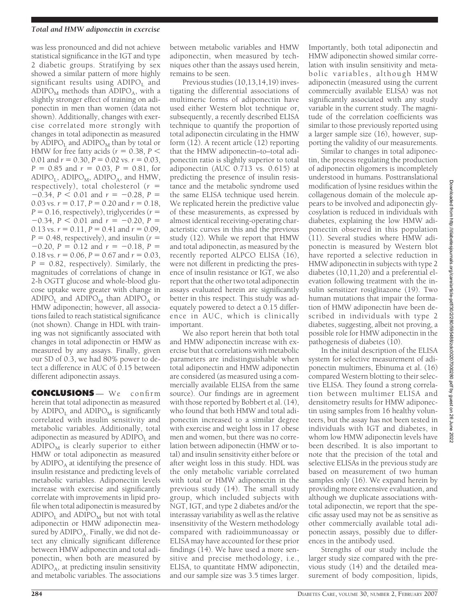#### *Total and HMW adiponectin in exercise*

was less pronounced and did not achieve statistical significance in the IGT and type 2 diabetic groups. Stratifying by sex showed a similar pattern of more highly significant results using  $ADIPC<sub>L</sub>$  and ADIPO $_{\text{M}}$  methods than ADIPO<sub>A</sub>, with a slightly stronger effect of training on adiponectin in men than women (data not shown). Additionally, changes with exercise correlated more strongly with changes in total adiponectin as measured by  $\overline{ADIPO_I}$  and  $\overline{ADIPO_M}$  than by total or HMW for free fatty acids ( $r = 0.38$ ,  $P <$ 0.01 and  $r = 0.30$ ,  $P = 0.02$  vs.  $r = 0.03$ ,  $P = 0.85$  and  $r = 0.03$ ,  $P = 0.81$ , for  $ADIPO<sub>I</sub>$ ,  $ADIPO<sub>M</sub>$ ,  $ADIPO<sub>A</sub>$ , and  $HMW$ , respectively), total cholesterol (*r*  $-0.34$ ,  $P < 0.01$  and  $r = -0.28$ ,  $P =$ 0.03 vs.  $r = 0.17$ ,  $P = 0.20$  and  $r = 0.18$ .  $P = 0.16$ , respectively), triglycerides ( $r =$  $-0.34$ ,  $P < 0.01$  and  $r = -0.20$ ,  $P =$ 0.13 vs.  $r = 0.11$ ,  $P = 0.41$  and  $r = 0.09$ ,  $P = 0.48$ , respectively), and insulin ( $r =$  $-0.20$ ,  $P = 0.12$  and  $r = -0.18$ ,  $P =$ 0.18 vs.  $r = 0.06$ ,  $P = 0.67$  and  $r = 0.03$ ,  $P = 0.82$ , respectively). Similarly, the magnitudes of correlations of change in 2-h OGTT glucose and whole-blood glucose uptake were greater with change in  $ADIPC<sub>L</sub>$  and  $ADIPC<sub>M</sub>$  than  $ADIPC<sub>A</sub>$  or HMW adiponectin; however, all associations failed to reach statistical significance (not shown). Change in HDL with training was not significantly associated with changes in total adiponectin or HMW as measured by any assays. Finally, given our SD of 0.3, we had 80% power to detect a difference in AUC of 0.15 between different adiponectin assays.

**CONCLUSIONS** — We confirm herein that total adiponectin as measured by  $ADIPC<sub>L</sub>$  and  $ADIPC<sub>M</sub>$  is significantly correlated with insulin sensitivity and metabolic variables. Additionally, total adiponectin as measured by  $ADIPO<sub>I</sub>$  and  $ADIPO<sub>M</sub>$  is clearly superior to either HMW or total adiponectin as measured by  $ADIPC<sub>A</sub>$  at identifying the presence of insulin resistance and predicting levels of metabolic variables. Adiponectin levels increase with exercise and significantly correlate with improvements in lipid profile when total adiponectin is measured by  $ADIPO<sub>L</sub>$  and  $ADIPO<sub>M</sub>$  but not with total adiponectin or HMW adiponectin measured by  $ADIPC_A$ . Finally, we did not detect any clinically significant difference between HMW adiponectin and total adiponectin, when both are measured by  $ADIPO<sub>A</sub>$ , at predicting insulin sensitivity and metabolic variables. The associations

between metabolic variables and HMW adiponectin, when measured by techniques other than the assays used herein, remains to be seen.

Previous studies (10,13,14,19) investigating the differential associations of multimeric forms of adiponectin have used either Western blot technique or, subsequently, a recently described ELISA technique to quantify the proportion of total adiponectin circulating in the HMW form (12). A recent article (12) reporting that the HMW adiponectin–to–total adiponectin ratio is slightly superior to total adiponectin (AUC 0.713 vs. 0.615) at predicting the presence of insulin resistance and the metabolic syndrome used the same ELISA technique used herein. We replicated herein the predictive value of these measurements, as expressed by almost identical receiving-operating characteristic curves in this and the previous study (12). While we report that HMW and total adiponectin, as measured by the recently reported ALPCO ELISA (16), were not different in predicting the presence of insulin resistance or IGT, we also report that the other two total adiponectin assays evaluated herein are significantly better in this respect. This study was adequately powered to detect a 0.15 difference in AUC, which is clinically important.

We also report herein that both total and HMW adiponectin increase with exercise but that correlations with metabolic parameters are indistinguishable when total adiponectin and HMW adiponectin are considered (as measured using a commercially available ELISA from the same source). Our findings are in agreement with those reported by Bobbert et al. (14), who found that both HMW and total adiponectin increased to a similar degree with exercise and weight loss in 17 obese men and women, but there was no correlation between adiponectin (HMW or total) and insulin sensitivity either before or after weight loss in this study. HDL was the only metabolic variable correlated with total or HMW adiponectin in the previous study (14). The small study group, which included subjects with NGT, IGT, and type 2 diabetes and/or the interassay variability as well as the relative insensitivity of the Western methodology compared with radioimmunoassay or ELISA may have accounted for these prior findings (14). We have used a more sensitive and precise methodology, i.e., ELISA, to quantitate HMW adiponectin, and our sample size was 3.5 times larger.

Importantly, both total adiponectin and HMW adiponectin showed similar correlation with insulin sensitivity and metabolic variables, although HMW adiponectin (measured using the current commercially available ELISA) was not significantly associated with any study variable in the current study. The magnitude of the correlation coefficients was similar to those previously reported using a larger sample size (16), however, supporting the validity of our measurements.

Similar to changes in total adiponectin, the process regulating the production of adiponectin oligomers is incompletely understood in humans. Posttranslational modification of lysine residues within the collagenous domain of the molecule appears to be involved and adiponectin glycosylation is reduced in individuals with diabetes, explaining the low HMW adiponectin observed in this population (11). Several studies where HMW adiponectin is measured by Western blot have reported a selective reduction in HMW adiponectin in subjects with type 2 diabetes (10,11,20) and a preferential elevation following treatment with the insulin sensitizer rosiglitazone (19). Two human mutations that impair the formation of HMW adiponectin have been described in individuals with type 2 diabetes, suggesting, albeit not proving, a possible role for HMW adiponectin in the pathogenesis of diabetes (10).

In the initial description of the ELISA system for selective measurement of adiponectin multimers, Ebinuma et al. (16) compared Western blotting to their selective ELISA. They found a strong correlation between multimer ELISA and densitometry results for HMW adiponectin using samples from 16 healthy volunteers, but the assay has not been tested in individuals with IGT and diabetes, in whom low HMW adiponectin levels have been described. It is also important to note that the precision of the total and selective ELISAs in the previous study are based on measurement of two human samples only (16). We expand herein by providing more extensive evaluation, and although we duplicate associations withtotal adiponectin, we report that the specific assay used may not be as sensitive as other commercially available total adiponectin assays, possibly due to differences in the antibody used.

Strengths of our study include the larger study size compared with the previous study (14) and the detailed measurement of body composition, lipids,